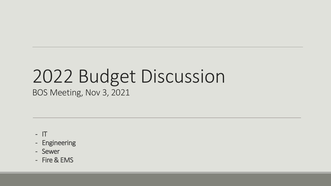# 2022 Budget Discussion

BOS Meeting, Nov 3, 2021

- IT
- Engineering
- Sewer
- Fire & EMS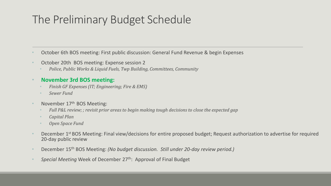# The Preliminary Budget Schedule

- October 6th BOS meeting: First public discussion: General Fund Revenue & begin Expenses
- October 20th BOS meeting: Expense session 2
	- *Police, Public Works & Liquid Fuels, Twp Building, Committees, Community*

#### • **November 3rd BOS meeting:**

- *Finish GF Expenses (IT; Engineering; Fire & EMS)*
- *Sewer Fund*
- November  $17<sup>th</sup>$  BOS Meeting:
	- *Full P&L review; ; revisit prior areas to begin making tough decisions to close the expected gap*
	- *Capital Plan*
	- *Open Space Fund*
- December 1<sup>st</sup> BOS Meeting: Final view/decisions for entire proposed budget; Request authorization to advertise for required 20-day public review
- December 15th BOS Meeting: *(No budget discussion. Still under 20-day review period.)*
- *Special Meeting* Week of December 27th: Approval of Final Budget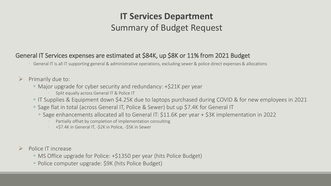# **IT Services Department** Summary of Budget Request

## General IT Services expenses are estimated at \$84K, up \$8K or 11% from 2021 Budget

- General IT is all IT supporting general & administrative operations, excluding sewer & police direct expenses & allocations
- $\triangleright$  Primarily due to:
	- Major upgrade for cyber security and redundancy: +\$21K per year
		- Split equally across General IT & Police IT
	- IT Supplies & Equipment down \$4.25K due to laptops purchased during COVID & for new employees in 2021
	- Sage flat in total (across General IT, Police & Sewer) but up \$7.4K for General IT
		- Sage enhancements allocated all to General IT: \$11.6K per year + \$3K implementation in 2022
			- Partially offset by completion of implementation consulting
			- +\$7.4K in General IT, -\$2K in Police, -\$5K in Sewer
- Police IT increase
	- **MS Office upgrade for Police: +\$1350 per year (hits Police Budget)**
	- Police computer upgrade: \$9K (hits Police Budget)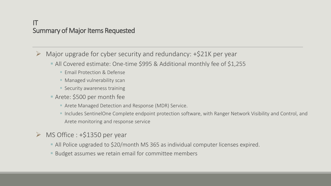## IT Summary of Major Items Requested

- $\triangleright$  Major upgrade for cyber security and redundancy: +\$21K per year
	- All Covered estimate: One-time \$995 & Additional monthly fee of \$1,255
		- **Email Protection & Defense**
		- **Managed vulnerability scan**
		- **Security awareness training**
	- Arete: \$500 per month fee
		- Arete Managed Detection and Response (MDR) Service.
		- Includes SentinelOne Complete endpoint protection software, with Ranger Network Visibility and Control, and Arete monitoring and response service
- $\triangleright$  MS Office : +\$1350 per year
	- All Police upgraded to \$20/month MS 365 as individual computer licenses expired.
	- Budget assumes we retain email for committee members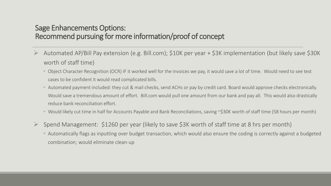# Sage Enhancements Options: Recommend pursuing for more information/proof of concept

- Automated AP/Bill Pay extension (e.g. Bill.com);  $$10K$  per year +  $$3K$  implementation (but likely save  $$30K$ worth of staff time)
	- Object Character Recognition (OCR) IF it worked well for the invoices we pay, it would save a lot of time. Would need to see test cases to be confident it would read complicated bills.
	- Automated payment included: they cut & mail checks, send ACHs or pay by credit card. Board would approve checks electronically. Would save a tremendous amount of effort. Bill.com would pull one amount from our bank and pay all. This would also drastically reduce bank reconciliation effort.
	- Would likely cut time in half for Accounts Payable and Bank Reconciliations, saving ~\$30K worth of staff time (58 hours per month)
- Spend Management: \$1260 per year (likely to save \$3K worth of staff time at 8 hrs per month)
	- Automatically flags as inputting over budget transaction, which would also ensure the coding is correctly against a budgeted combination; would eliminate clean-up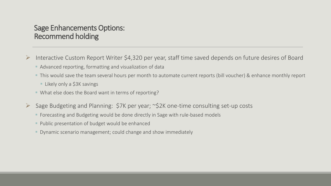# Sage Enhancements Options: Recommend holding

- $\triangleright$  Interactive Custom Report Writer \$4,320 per year, staff time saved depends on future desires of Board
	- Advanced reporting, formatting and visualization of data
	- This would save the team several hours per month to automate current reports (bill voucher) & enhance monthly report
		- **Likely only a \$3K savings**
	- What else does the Board want in terms of reporting?
- $\triangleright$  Sage Budgeting and Planning: \$7K per year;  $\sim$ \$2K one-time consulting set-up costs
	- **F** Forecasting and Budgeting would be done directly in Sage with rule-based models
	- **Public presentation of budget would be enhanced**
	- Dynamic scenario management; could change and show immediately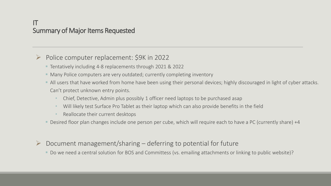## $\triangleright$  Police computer replacement: \$9K in 2022

- Tentatively including 4-8 replacements through 2021 & 2022
- Many Police computers are very outdated; currently completing inventory
- All users that have worked from home have been using their personal devices; highly discouraged in light of cyber attacks. Can't protect unknown entry points.
	- Chief, Detective, Admin plus possibly 1 officer need laptops to be purchased asap
	- Will likely test Surface Pro Tablet as their laptop which can also provide benefits in the field
	- Reallocate their current desktops
- Desired floor plan changes include one person per cube, which will require each to have a PC (currently share) +4
- $\triangleright$  Document management/sharing deferring to potential for future
	- Do we need a central solution for BOS and Committess (vs. emailing attachments or linking to public website)?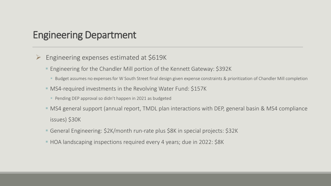# Engineering Department

- $\triangleright$  Engineering expenses estimated at \$619K
	- Engineering for the Chandler Mill portion of the Kennett Gateway: \$392K
		- Budget assumes no expenses for W South Street final design given expense constraints & prioritization of Chandler Mill completion
	- MS4-required investments in the Revolving Water Fund: \$157K
		- Pending DEP approval so didn't happen in 2021 as budgeted
	- MS4 general support (annual report, TMDL plan interactions with DEP, general basin & MS4 compliance issues) \$30K
	- General Engineering: \$2K/month run-rate plus \$8K in special projects: \$32K
	- HOA landscaping inspections required every 4 years; due in 2022: \$8K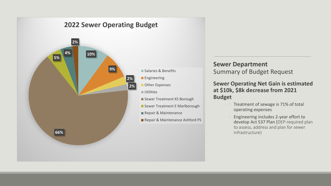

## **Sewer Department** Summary of Budget Request

#### **Sewer Operating Net Gain is estimated at \$10k, \$8k decrease from 2021 Budget**

- Treatment of sewage is 71% of total operating expenses
- Engineering includes 2-year effort to develop Act 537 Plan (DEP-required plan to assess, address and plan for sewer infrastructure)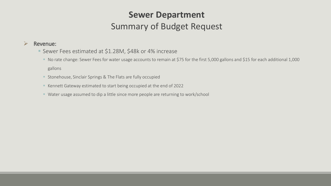# **Sewer Department** Summary of Budget Request

#### $\triangleright$  Revenue:

- Sewer Fees estimated at \$1.28M, \$48k or 4% increase
	- No rate change: Sewer Fees for water usage accounts to remain at \$75 for the first 5,000 gallons and \$15 for each additional 1,000 gallons
	- **Stonehouse, Sinclair Springs & The Flats are fully occupied**
	- Kennett Gateway estimated to start being occupied at the end of 2022
	- Water usage assumed to dip a little since more people are returning to work/school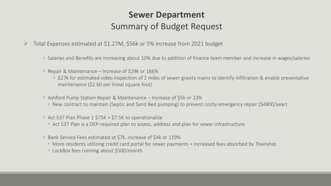# **Sewer Department** Summary of Budget Request

- Total Expenses estimated at \$1.27M, \$56k or 5% increase from 2021 budget
	- Salaries and Benefits are increasing about 10% due to addition of finance team member and increase in wages/salaries
	- Repair & Maintenance Increase of \$29k or 166%
		- \$27k for estimated video inspection of 2 miles of sewer gravity mains to identify infiltration & enable preventative maintenance (\$2.60 per lineal square foot)
	- Ashford Pump Station Repair & Maintenance Increase of \$5k or 23%
		- New contract to maintain (Septic and Sand Bed pumping) to prevent costly emergency repair (\$4800/year)
	- Act 537 Plan Phase 1 \$75K + \$7.5K to operationalize
		- Act 537 Plan is a DEP-required plan to assess, address and plan for sewer infrastructure
	- Bank Service Fees estimated at \$7k, increase of \$4k or 119%
		- More residents utilizing credit card portal for sewer payments = increased fees absorbed by Township
		- LockBox fees running about \$500/month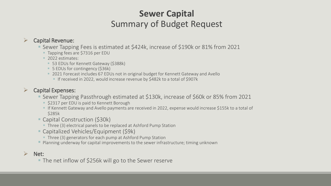# **Sewer Capital** Summary of Budget Request

## $\triangleright$  Capital Revenue:

- Sewer Tapping Fees is estimated at \$424k, increase of \$190k or 81% from 2021
	- Tapping fees are \$7316 per EDU
	- 2022 estimates:
		- 53 EDUs for Kennett Gateway (\$388k)
		- 5 EDUs for contingency (\$36k)
		- 2021 Forecast includes 67 EDUs not in original budget for Kennett Gateway and Avello
			- If received in 2022, would increase revenue by \$482k to a total of \$907k

## $\triangleright$  Capital Expenses:

- Sewer Tapping Passthrough estimated at \$130k, increase of \$60k or 85% from 2021
	- **S2317 per EDU is paid to Kennett Borough**
	- If Kennett Gateway and Avello payments are received in 2022, expense would increase \$155k to a total of \$285k
- Capital Construction (\$30k)
	- Three (3) electrical panels to be replaced at Ashford Pump Station
- Capitalized Vehicles/Equipment (\$9k)
	- Three (3) generators for each pump at Ashford Pump Station
- **P** Planning underway for capital improvements to the sewer infrastructure; timing unknown

## $\triangleright$  Net:

■ The net inflow of \$256k will go to the Sewer reserve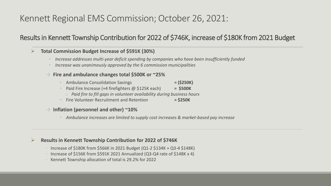# Kennett Regional EMS Commission; October 26, 2021:

# Results in Kennett Township Contribution for 2022 of \$746K, increase of \$180K from 2021 Budget

- **Total Commission Budget Increase of \$591K (30%)**
	- *Increase addresses multi-year deficit spending by companies who have been insufficiently funded*
	- *Increase was unanimously approved by the 6 commission municipalities*

#### → **Fire and ambulance changes total \$500K or ~25%**

- Ambulance Consolidation Savings **= (\$250K)**
- Paid Fire Increase (+4 firefighters @ \$125K each) **= \$500K**
	- o *Paid fire to fill gaps in volunteer availability during business hours*
- **Fire Volunteer Recruitment and Retention**
- → **Inflation (personnel and other) ~10%**
	- *Ambulance increases are limited to supply cost increases & market-based pay increase*

#### **Results in Kennett Township Contribution for 2022 of \$746K**

- Increase of \$180K from \$566K in 2021 Budget (Q1-2 \$134K + Q3-4 \$148K)
- Increase of \$156K from \$591K 2021 Annualized (Q3-Q4 rate of \$148K x 4)
- Kennett Township allocation of total is 29.2% for 2022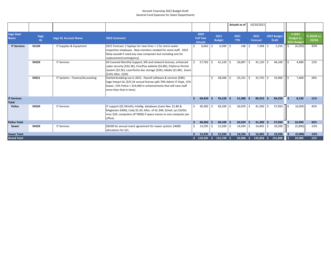#### Kennett Township 2022 Budget Draft General Fund Expenses for Select Departments

|                                    |                   |                                 |                                                                                                                                                                                                                                            |              |                                            |         |               | Actuals as of |              | 10/20/2021 |                   |    |                       |                          |                    |        |  |  |  |  |  |  |  |  |                         |  |  |  |  |  |  |  |                             |  |                                            |                      |
|------------------------------------|-------------------|---------------------------------|--------------------------------------------------------------------------------------------------------------------------------------------------------------------------------------------------------------------------------------------|--------------|--------------------------------------------|---------|---------------|---------------|--------------|------------|-------------------|----|-----------------------|--------------------------|--------------------|--------|--|--|--|--|--|--|--|--|-------------------------|--|--|--|--|--|--|--|-----------------------------|--|--------------------------------------------|----------------------|
| <b>Sage Dept</b><br><b>Name</b>    | <b>Sage</b><br>GL | <b>Sage GL Account Name</b>     | 2022 Comment                                                                                                                                                                                                                               |              | 2020<br><b>Full Year</b><br><b>Actuals</b> |         |               |               |              |            |                   |    | 2021<br><b>Budget</b> |                          | 2021<br><b>YTD</b> |        |  |  |  |  |  |  |  |  | 2021<br><b>Forecast</b> |  |  |  |  |  |  |  | 2022 Budget<br><b>Draft</b> |  | \$2022<br><b>Budget vs.</b><br>2021 Budget | % 2022B vs.<br>2021B |
| <b>IT Services</b>                 | 52130             | IT Supplies & Equipment         | 2021 Forecast: 2 laptops for new hires + 1 for storm water<br>inspection employee. New monitors needed for some staff. 2022<br>likely wouldn't need any new computers but including one for<br>replacement/contingency)                    | \$           | $6,662$ \$                                 |         | $6,500$ \$    |               | $148 \mid 5$ |            | $7,398$ \$        |    | 2,250                 | I\$                      | (4,250)            | $-65%$ |  |  |  |  |  |  |  |  |                         |  |  |  |  |  |  |  |                             |  |                                            |                      |
|                                    | 54520             | <b>IT Services</b>              | All Covered Monthly Support, MS and network licenses, enhanced<br>cyber security (\$32.3K); CivicPlus website (\$3.8K); Cityforce Permit<br>System (\$3.2K); Laserfische doc storage (\$2K); Adobe (\$1.8K); Zoom<br>(\$1K); Misc. (\$2K)  | $\mathsf{S}$ | 57,762                                     | - Ś     | $41,120$ \$   |               | 26,007       | \$         | $41,120$ \$       |    | 46,100                |                          | 4,980              | 12%    |  |  |  |  |  |  |  |  |                         |  |  |  |  |  |  |  |                             |  |                                            |                      |
|                                    | 54521             | IT Systems - Finance/Accounting | Started breaking out in 2021. Payroll software & services (\$4K);<br>Sage Intaact GL (\$25.5K annual license split 70% Admin IT Dept, 15%<br>Sewer, 15% Police + \$14,400 in enhancements that will save staff<br>more than that in time). |              |                                            | $\zeta$ | $28,500$ \$   |               | 25,231       | <b>S</b>   | $31,735$ \$       |    | 35,900                | l \$                     | 7,400              | 26%    |  |  |  |  |  |  |  |  |                         |  |  |  |  |  |  |  |                             |  |                                            |                      |
| <b>IT Services</b><br><b>Total</b> |                   |                                 |                                                                                                                                                                                                                                            |              | 64,424                                     |         | 76,120 \$     |               | 51,386       | - \$       | 80,253            | -S | 84,250                | - \$                     | 8,130              | 11%    |  |  |  |  |  |  |  |  |                         |  |  |  |  |  |  |  |                             |  |                                            |                      |
| <b>Police</b>                      | 54520             | <b>IT Services</b>              | IT support (\$2.5Kmth); Intellig. databases (Lexis Nex. \$1.8K &<br>Magloclen \$400); Cody \$5.2K; Alloc. of GL \$4K; Sched. sys \$1650;<br>misc \$2K; computers (4*3000) if space moves to one computer per<br>officer.                   | \$           | 40,383                                     | ∣\$     | $40,100$ \$   |               | $26,929$ \$  |            | 41,200 $\vert$ \$ |    | 57,050                | $\vert$ \$               | 16,950             | 42%    |  |  |  |  |  |  |  |  |                         |  |  |  |  |  |  |  |                             |  |                                            |                      |
| <b>Police Total</b>                |                   |                                 |                                                                                                                                                                                                                                            |              | 40,383                                     |         | $40,100$ \$   |               | 26,929       | - \$       | 41,200            |    | 57,050                | - \$                     | 16,950             | 42%    |  |  |  |  |  |  |  |  |                         |  |  |  |  |  |  |  |                             |  |                                            |                      |
| <b>Sewer</b>                       | 54520             | <b>IT Services</b>              | \$6500 for annual maint agreement for sewer system; \$4000<br>allocations for G/L.                                                                                                                                                         | \$           | 14,295                                     | ∣\$     | $15,500$   \$ |               | $14,594$ \$  |            | $14,405$ \$       |    | 10,500                | $\vert$ \$               | (5,000)            | $-32%$ |  |  |  |  |  |  |  |  |                         |  |  |  |  |  |  |  |                             |  |                                            |                      |
| <b>Sewer Total</b>                 |                   |                                 |                                                                                                                                                                                                                                            |              | 14,295                                     |         | $15,500$ \$   |               | 14,594       | - S        | 14,405            |    | 10,500                |                          | (5,000)            | $-32%$ |  |  |  |  |  |  |  |  |                         |  |  |  |  |  |  |  |                             |  |                                            |                      |
| <b>Grand Total</b>                 |                   |                                 |                                                                                                                                                                                                                                            |              | 119,101                                    | -S.     | 131,720       |               | 92,908       | S.         | 135,858           | -S | 151,800               | $\overline{\phantom{a}}$ | 20,080             | 15%    |  |  |  |  |  |  |  |  |                         |  |  |  |  |  |  |  |                             |  |                                            |                      |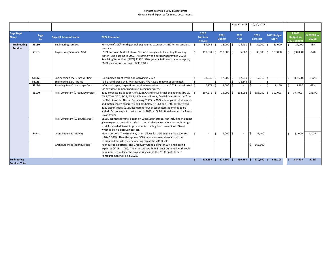#### Kennett Township 2022 Budget Draft General Fund Expenses for Select Departments

|                                             |                   |                                         |                                                                                                                                                                                                                                                                                                                                                                                                                                                                                                            |     |                                            |    |                             |    | Actuals as of            |    | 10/20/2021              |                             |     |                                            |                      |
|---------------------------------------------|-------------------|-----------------------------------------|------------------------------------------------------------------------------------------------------------------------------------------------------------------------------------------------------------------------------------------------------------------------------------------------------------------------------------------------------------------------------------------------------------------------------------------------------------------------------------------------------------|-----|--------------------------------------------|----|-----------------------------|----|--------------------------|----|-------------------------|-----------------------------|-----|--------------------------------------------|----------------------|
| Sage Dept<br><b>Name</b>                    | <b>Sage</b><br>GL | <b>Sage GL Account Name</b>             | 2022 Comment                                                                                                                                                                                                                                                                                                                                                                                                                                                                                               |     | 2020<br><b>Full Year</b><br><b>Actuals</b> |    | 2021<br><b>Budget</b>       |    | 2021<br><b>YTD</b>       |    | 2021<br><b>Forecast</b> | 2022 Budget<br><b>Draft</b> |     | \$2022<br><b>Budget vs.</b><br>2021 Budget | % 2022B vs.<br>2021B |
| <b>Engineering</b><br><b>Services</b>       | 53130             | <b>Engineering Services</b>             | Run-rate of \$2K/month general engineering expenses + \$8K for misc project<br>run-rate.                                                                                                                                                                                                                                                                                                                                                                                                                   | ∣\$ | $54,241$ \$                                |    | $18,000$ \$                 |    | $25,430$   \$            |    | $32,000$   \$           | 32,000                      | IS. | 14,000                                     | 78%                  |
|                                             | 53131             | <b>Engineering Services - MS4</b>       | (2021 Forecast: MS4 bills haven't come through yet. Expecting Revolving<br>Water Fund pushing to 2022. Assuming won't get DEP approval in 2021)<br>Revolving Water Fund (RWF) \$157K; \$30K general MS4 work (annual report,<br>TMDL plan interactions with DEP, RWF s                                                                                                                                                                                                                                     | Ŝ.  | $113,034$   \$                             |    | $217,000$ \$                |    | $5,982$ \$               |    | $30,000$   \$           | 187,000                     |     | (30,000)                                   | $-14%$               |
|                                             | 53132             | <b>Engineering Serv - Grant Writing</b> | No expected grant writing or lobbying in 2022                                                                                                                                                                                                                                                                                                                                                                                                                                                              | \$  | $33,030$   \$                              |    | $17,500$ \$                 |    | $17,510$ \$              |    | $17,510$ \$             | $\overline{\phantom{a}}$    |     | (17,500)                                   | $-100%$              |
|                                             | 53133             | <b>Engineering Serv - Traffic</b>       | To be reimbursed by E. Marlborough. We have already met our match.                                                                                                                                                                                                                                                                                                                                                                                                                                         | \$  |                                            | -S |                             | \$ | $18,645$ \$              |    |                         |                             |     |                                            |                      |
|                                             | 53134             | Planning Serv & Landscape Arch          | HOA landscaping inspections required every 4 years. Used 2018 cost adjusted $\frac{1}{5}$<br>for new developments and raise in engineer rates.                                                                                                                                                                                                                                                                                                                                                             |     | $6,978$ \$                                 |    | 5,000                       | -S |                          |    | $\sim$                  | 8,100                       |     | 3,100                                      | 62%                  |
|                                             | 53170             | Trail Consultant (Greenway Project)     | 2021 Forecast includes 56% of \$628K Chandler Mill Final Engineering (TO 9),<br>TO 5, TO 6, TO 7, TO 8, TO 9, McMahon add-ons, feasibility work on trail from<br>the Flats to Anson Nixon. Remaining \$277K in 2022 minus grant reimbursable<br>and match shown separately on lines below (\$166K and \$71K, respectively).<br>2022 also includes \$115K estimate for out of scope items identified to be<br>added. Do not expect construction in 2022. / (?? Additional needed for Anson<br>Nixon trail?) |     | $107,272$ \$                               |    | $15,000$   \$               |    | $292,992$ \$             |    | $353,150$ \$            | 392,003                     |     | 377,003                                    | 2513%                |
|                                             |                   | Trail Consultant (W South Street)       | \$513K estimate for final design on West South Street. Not including in budget<br>given expense constraints. Ideal to do this design in conjunction with design<br>work for needed Sewer improvements running down West South Street,<br>which is likely a Borough project.                                                                                                                                                                                                                                |     |                                            |    |                             |    |                          |    |                         |                             |     |                                            |                      |
|                                             | 54541             | <b>Grant Expenses (Match)</b>           | Match portion: The Greenway Grant allows for 10% engineering expenses<br>$(170K * 10%)$ . Then the approx. \$68K in environmental work could be<br>reimbursed outside the engineering cap at the 70/30 split.                                                                                                                                                                                                                                                                                              | Ś.  |                                            | S  | $1,000$   \$                |    | $\overline{\phantom{0}}$ | -S | 71,400                  |                             |     | (1,000)                                    | $-100%$              |
|                                             |                   | Grant Expenses (Reimbursable)           | Reimbursable portion: The Greenway Grant allows for 10% engineering<br>expenses (170K * 10%). Then the approx. \$68K in environmental work could<br>be reimbursed outside the engineering cap at the 70/30 split. Expect<br>reimbursement will be in 2022.                                                                                                                                                                                                                                                 |     |                                            |    |                             |    |                          |    | \$166,600               |                             |     |                                            |                      |
| <b>Engineering</b><br><b>Services Total</b> |                   |                                         |                                                                                                                                                                                                                                                                                                                                                                                                                                                                                                            |     |                                            |    | $314,556 \div 273,500 \div$ |    | $360,560$ \$             |    | 670,660 \$              | 619,103                     | -S  | 345,603                                    | 126%                 |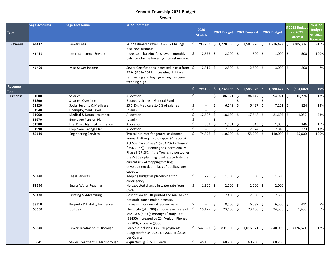## **Kennett Township 2021 Budget**

#### **Sewer**

| <b>Type</b>                    | <b>Sage Account#</b> | <b>Sage Acct Name</b>             | 2022 Comment                                                                                                                                                                                                                                                                                                                                                              |         | 2020<br>Actuals |         | 2021 Budget  |                    | 2021 Forecast     |         | 2022 Budget    |                     | \$2022 Budget<br>vs. 2021<br><b>Forecast</b> | % 2022<br><b>Budget</b><br>vs. 2021<br><b>Forecast</b> |
|--------------------------------|----------------------|-----------------------------------|---------------------------------------------------------------------------------------------------------------------------------------------------------------------------------------------------------------------------------------------------------------------------------------------------------------------------------------------------------------------------|---------|-----------------|---------|--------------|--------------------|-------------------|---------|----------------|---------------------|----------------------------------------------|--------------------------------------------------------|
| <b>Revenue</b>                 | 46412                | <b>Sewer Fees</b>                 | 2022 estimated revenue = 2021 billings                                                                                                                                                                                                                                                                                                                                    |         | \$793,703       |         | \$1,228,186  | $\ddot{\varsigma}$ | 1,581,776         | ∣\$     | $1,276,474$ \$ |                     | (305, 302)                                   | $-19%$                                                 |
|                                | 46451                | Interest Income (Sewer)           | plus new accounts<br>Increase in banking fees lowers monthly<br>balance which is lowering interest income.                                                                                                                                                                                                                                                                | $\zeta$ | $2,672$ \$      |         | $2,000$ \$   |                    | $500 \mid 5$      |         | $1,000$ \$     |                     | 500                                          | 100%                                                   |
|                                | 46499                | Misc Sewer Income                 | Sewer Certifications increased in cost from $\frac{1}{5}$<br>\$5 to \$20 in 2021. Increasing slightly as<br>refinancing and buying/selling has been<br>trending high.                                                                                                                                                                                                     |         | 2,815           | $\zeta$ | 2,500        | \$                 | 2,800             | \$      | 3,000          | $\ddot{\mathsf{S}}$ | 200                                          | 7%                                                     |
| <b>Revenue</b><br><b>Total</b> |                      |                                   |                                                                                                                                                                                                                                                                                                                                                                           |         | 799,190         | S.      | 1,232,686    | $\mathsf{S}$       | $1,585,076$ \$    |         | 1,280,474      | $\mathsf{S}$        | (304, 602)                                   | $-19%$                                                 |
| <b>Expense</b>                 | 51000                | Salaries                          | Allocation                                                                                                                                                                                                                                                                                                                                                                | \$.     |                 |         | $86,921$ \$  |                    | $84,147$ \$       |         | $94,921$ \$    |                     | 10,774                                       | 13%                                                    |
|                                | 51800                | Salaries, Overtime                | Budget is sitting in General Fund                                                                                                                                                                                                                                                                                                                                         |         |                 |         |              | \$                 |                   | $\zeta$ |                |                     |                                              |                                                        |
|                                | 51920                | Social Security & Medicare        | SS 6.2%; Medicare 1.45% of salaries                                                                                                                                                                                                                                                                                                                                       | \$      |                 | \$      | 6,649        | \$                 | 6,437             | -\$     | 7,261          |                     | 824                                          | 13%                                                    |
|                                | 51940                | <b>Unemployment Taxes</b>         | (blank)                                                                                                                                                                                                                                                                                                                                                                   | \$      |                 |         |              |                    |                   |         |                |                     |                                              |                                                        |
|                                | 51960                | Medical & Dental Insurance        | Allocation                                                                                                                                                                                                                                                                                                                                                                |         | 12,607          | \$      | 18,630       | \$                 | $17,548$ \$       |         | 21,605         | l\$                 | 4,057                                        | 23%                                                    |
|                                | 51970                | <b>Employee Pension Plan</b>      | (blank)                                                                                                                                                                                                                                                                                                                                                                   | \$      |                 |         |              |                    |                   |         |                |                     |                                              |                                                        |
|                                | 51980                | Life, Disability, H&L Insurance   | Allocation                                                                                                                                                                                                                                                                                                                                                                | \$      | 302             | \$      | 1,001        | \$                 | 943   \$          |         | 1,089          |                     | 146                                          | 15%                                                    |
|                                | 51990                | <b>Employee Savings Plan</b>      | Allocation                                                                                                                                                                                                                                                                                                                                                                |         |                 |         | $2,608$ \$   |                    | $2,524$ \$        |         | 2,848          |                     | 323                                          | 13%                                                    |
|                                | 53130                | <b>Engineering Services</b>       | Typical run-rate for general assistance +<br>annual DEP required Chapter 94 report +<br>Act 537 Plan (Phase 1 \$75K 2021 (Phase 2<br>\$75K 2022)) + Planning to Operationalize<br>Phase I (\$7.5K). If the Township postpones<br>the Act 537 planning it will exacerbate the<br>current risk of stopping/stalling<br>development due to lack of public sewer<br>capacity. | \$      | 74,896          | \$      | $110,000$ \$ |                    | 55,000 $\vert$ \$ |         | 110,000 \$     |                     | 55,000                                       | 100%                                                   |
|                                | 53140                | Legal Services                    | Keeping budget as placeholder for<br>contingency                                                                                                                                                                                                                                                                                                                          | \$      | 228             | $\zeta$ | $1,500$ \$   |                    | $1,500$ \$        |         | 1,500          |                     |                                              |                                                        |
|                                | 53190                | Sewer Water Readings              | No expected change in water rate from<br><b>CWA</b>                                                                                                                                                                                                                                                                                                                       | \$      | 1,600           | $\zeta$ | $2,000$   \$ |                    | $2,000$ \$        |         | 2,000          |                     |                                              |                                                        |
|                                | 53420                | <b>Printing &amp; Advertising</b> | Cost of Sewer Bills printed and mailed - do<br>not anticipate a major increase.                                                                                                                                                                                                                                                                                           |         |                 | \$      | $2,400$   \$ |                    | $2,500$   \$      |         | 2,500          |                     |                                              |                                                        |
|                                | 53510                | Property & Liability Insurance    | Increasing for normal rate increase.                                                                                                                                                                                                                                                                                                                                      |         |                 |         | 8,000        | \$                 | $6,089$ \$        |         | 6,500          |                     | 411                                          | 7%                                                     |
|                                | 53600                | <b>Utilities</b>                  | Electricity (\$15,700) anticipate increase of<br>7%; CWA (\$900); Borough (\$300); FIOS<br>(\$1450) increased by 2%; Verizon Phones<br>(\$5700); Propane (\$500)                                                                                                                                                                                                          | \$      | 15,177          | $\zeta$ | $23,100$ \$  |                    | $23,100$   \$     |         | $24,550$   \$  |                     | 1,450                                        | 6%                                                     |
|                                | 53640                | Sewer Treatment, KS Borough       | Forecast includes Q3 2020 payments.<br>Budgeted for Q4 2021-Q3 2022 @ \$210k<br>per Quarter                                                                                                                                                                                                                                                                               |         | 542,627         | $\zeta$ | $831,000$ \$ |                    | $1,016,671$ \$    |         | 840,000        | Ŝ.                  | (176, 671)                                   | $-17%$                                                 |
|                                | 53641                | Sewer Treatment, E Marlborough    | 4 quarters $@$ \$15,065 each                                                                                                                                                                                                                                                                                                                                              | S.      | $45,195$ \$     |         | $60,260$ \$  |                    | $60,260$ \$       |         | 60,260         |                     |                                              |                                                        |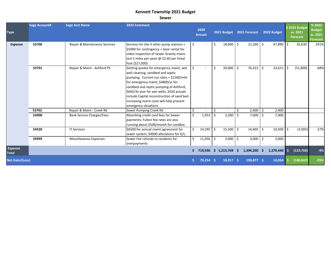#### **Kennett Township 2021 Budget Sewer**

| Type                           | <b>Sage Account#</b> | <b>Sage Acct Name</b>            | 2022 Comment                                                                                                                                                                                                                                                                                                                                                              | 2020<br><b>Actuals</b> |    |                      |                     | 2021 Budget 2021 Forecast |    | 2022 Budget    | \$2022 Budget<br>vs. 2021<br><b>Forecast</b> | % 2022<br><b>Budget</b><br>vs. 2021<br><b>Forecast</b> |
|--------------------------------|----------------------|----------------------------------|---------------------------------------------------------------------------------------------------------------------------------------------------------------------------------------------------------------------------------------------------------------------------------------------------------------------------------------------------------------------------|------------------------|----|----------------------|---------------------|---------------------------|----|----------------|----------------------------------------------|--------------------------------------------------------|
| <b>Expense</b>                 | 53700                | Repair & Maintenance Services    | Services for the 4 other pump stations +<br>\$5000 for contingency + Gear rental for<br>video inspection of Sewer Gravity mains<br>(est 2 miles per year) @ \$2.60 per lineal<br>foot (\$27,000)                                                                                                                                                                          | \$                     | S  | $18,000$ \$          |                     | 12,260 $\vert$ \$         |    | $47,890$ \$    | 35,630                                       | 291%                                                   |
|                                | 53701                | Repair & Maint - Ashford PS      | Getting quotes for emergency maint, wet<br>well cleaning, sandbed and septic<br>pumping. Current run rates = \$1500/mth<br>for emergency maint; \$4800/yr for<br>sandbed and septic pumping of Ashford;<br>\$605/3x year for wet wells; 2020 actuals<br>include Capital reconstruction of sand bed -<br>increasing maint costs will help prevent<br>emergency situations. | \$                     | \$ | $20,000$ \$          |                     | $76,415$ \$               |    | $24,615$ \$    | (51,800)                                     | $-68%$                                                 |
|                                | 53702                | Repair & Maint - Creek Rd        | Sewer Pumping Creek Rd                                                                                                                                                                                                                                                                                                                                                    | \$                     | Ŝ  |                      | \$                  | $2,400$   \$              |    | 2,400          |                                              |                                                        |
|                                | 53900                | <b>Bank Service Charges/Fees</b> | Absorbing credit card fees for Sewer<br>payments; Fulton fee rates are also<br>running about \$500/month for LockBox.                                                                                                                                                                                                                                                     | \$<br>1,953            | Ś. | 3,200                | $\ddot{\mathsf{S}}$ | $7,000$ \$                |    | 7,000          |                                              |                                                        |
|                                | 54520                | <b>IT Services</b>               | \$6500 for annual maint agreement for<br>sewer system; \$4000 allocations for G/L.                                                                                                                                                                                                                                                                                        | \$<br>14,295           | \$ | 15,500 $\vert$ \$    |                     | $14,405$ \$               |    | $10,500$ \$    | (3,905)                                      | $-27%$                                                 |
|                                | 59999                | <b>Miscellaneous Expenses</b>    | Sewer Fee refunds to residents for<br>overpayments                                                                                                                                                                                                                                                                                                                        | \$<br>$11,056$ \$      |    | $3,000$ \$           |                     | $3,000$   \$              |    | 3,000          |                                              |                                                        |
| <b>Expense</b><br><b>Total</b> |                      |                                  |                                                                                                                                                                                                                                                                                                                                                                           |                        |    | 719,936 \$ 1,213,769 | -S                  | 1,394,200                 | -S | $1,270,440$ \$ | (123, 760)                                   | $-9%$                                                  |
| <b>Net Gain/(Loss)</b>         |                      |                                  |                                                                                                                                                                                                                                                                                                                                                                           | $79,254$ \$            |    | $18,917$ \$          |                     | 190,877 \$                |    | 10,034         | (180, 842)                                   | -95%                                                   |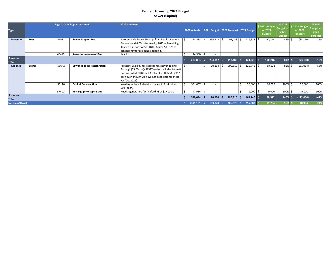#### **Kennett Township 2021 Budget Sewer (Capital)**

| <b>Type</b>                    |             |       | <b>Sage Accoun Sage Acct Name</b> | 2022 Comment                                                                                                                                                                                                                    | 2020 Actuals |    | 2021 Budget 2021 Forecast 2022 Budget |              |         |                        | $$2022$ Budget<br>vs. 2021<br><b>Budget</b> | % 2022<br><b>Budget vs.</b><br>2021<br><b>Budget</b> | \$2022 Budget<br>vs. 2021<br><b>Forecast</b> | % 2022<br><b>Budget vs.</b><br>2021<br><b>Forecast</b> |
|--------------------------------|-------------|-------|-----------------------------------|---------------------------------------------------------------------------------------------------------------------------------------------------------------------------------------------------------------------------------|--------------|----|---------------------------------------|--------------|---------|------------------------|---------------------------------------------|------------------------------------------------------|----------------------------------------------|--------------------------------------------------------|
| Revenue                        | <b>Fees</b> | 46411 | <b>Sewer Tapping Fee</b>          | Forecast includes 61 EDUs @ \$7316 ea for Kennett<br>Gateway and 6 EDUs for Avello; 2022 = Remaining<br>Kennett Gateway of 53 EDUs. Added 5 EDU's as<br>contingency for residential tapping.                                    | 273,583      |    | $234,112$ \$                          | 497,488      |         | $424,328$ \$           | 190,216                                     | $81\%$ \$                                            | (73, 160)                                    | $-15%$                                                 |
|                                |             | 46413 | <b>Sewer Improvement Fee</b>      | (blank)                                                                                                                                                                                                                         | $14,300$ \$  |    | $\overline{\phantom{0}}$              |              |         |                        |                                             |                                                      |                                              |                                                        |
| Revenue<br><b>Total</b>        |             |       |                                   |                                                                                                                                                                                                                                 | 287,883      |    | 234,112                               | 497,488      | S.      | 424,328                | 190,216                                     | 81%                                                  | (73, 160)                                    | $-15%$                                                 |
| <b>Expense</b>                 | Sewer       | 53642 | <b>Sewer Tapping Passthrough</b>  | Forecast: Backpay for Tapping fees never paid to<br>Borough (63 EDUs @ \$2317 each). Includes Kennett<br>Gateway of 61 EDUs and Avello of 6 EDUs @ \$2317<br>each even though we have not been paid for these<br>yet (Oct 2021) |              |    | $70,234$ \$                           | $290,810$ \$ |         | $129,746$ \$           | 59,512                                      | 85% \$                                               | (161,064)                                    | $-55%$                                                 |
|                                |             | 56110 | <b>Capital Construction</b>       | Need to replace 3 electrical panels in Ashford at<br>\$10k each.                                                                                                                                                                | $551,067$ \$ |    | $\overline{\phantom{0}}$              |              | \$      | $30,000$ $\frac{1}{5}$ | 30,000                                      | 100% \$                                              | 30,000                                       | 100%                                                   |
|                                |             | 57400 | Veh-Equip (to capitalize)         | Need 3 generators for Ashford PS at \$3k each.                                                                                                                                                                                  | $47,966$ \$  |    | $\overline{\phantom{0}}$              |              | $\zeta$ | $9,000$ \$             | 9,000                                       | $100\%$ \$                                           | 9,000                                        | 100%                                                   |
| <b>Expense</b><br><b>Total</b> |             |       |                                   |                                                                                                                                                                                                                                 | 599,034      | -5 | 70,234                                | $290,810$ \$ |         | $168,746$ \$           | 98,512                                      | 140%                                                 | (122,064)                                    | $-42%$                                                 |
| <b>Net Gain/(Loss)</b>         |             |       |                                   |                                                                                                                                                                                                                                 | (311, 151)   |    | 163,878                               | 206,678      |         | 255,582                | 91,704                                      | 56%                                                  | 48,904                                       | 24%                                                    |